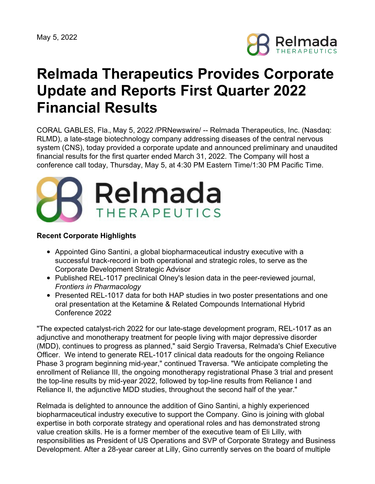

# **Relmada Therapeutics Provides Corporate Update and Reports First Quarter 2022 Financial Results**

CORAL GABLES, Fla., May 5, 2022 /PRNewswire/ -- Relmada Therapeutics, Inc. (Nasdaq: RLMD), a late-stage biotechnology company addressing diseases of the central nervous system (CNS), today provided a corporate update and announced preliminary and unaudited financial results for the first quarter ended March 31, 2022. The Company will host a conference call today, Thursday, May 5, at 4:30 PM Eastern Time/1:30 PM Pacific Time.



#### **Recent Corporate Highlights**

- Appointed Gino Santini, a global biopharmaceutical industry executive with a successful track-record in both operational and strategic roles, to serve as the Corporate Development Strategic Advisor
- Published REL-1017 preclinical Olney's lesion data in the peer-reviewed journal, *Frontiers in Pharmacology*
- Presented REL-1017 data for both HAP studies in two poster presentations and one oral presentation at the Ketamine & Related Compounds International Hybrid Conference 2022

"The expected catalyst-rich 2022 for our late-stage development program, REL-1017 as an adjunctive and monotherapy treatment for people living with major depressive disorder (MDD), continues to progress as planned," said Sergio Traversa, Relmada's Chief Executive Officer. We intend to generate REL-1017 clinical data readouts for the ongoing Reliance Phase 3 program beginning mid-year," continued Traversa. "We anticipate completing the enrollment of Reliance III, the ongoing monotherapy registrational Phase 3 trial and present the top-line results by mid-year 2022, followed by top-line results from Reliance I and Reliance II, the adjunctive MDD studies, throughout the second half of the year."

Relmada is delighted to announce the addition of Gino Santini, a highly experienced biopharmaceutical industry executive to support the Company. Gino is joining with global expertise in both corporate strategy and operational roles and has demonstrated strong value creation skills. He is a former member of the executive team of Eli Lilly, with responsibilities as President of US Operations and SVP of Corporate Strategy and Business Development. After a 28-year career at Lilly, Gino currently serves on the board of multiple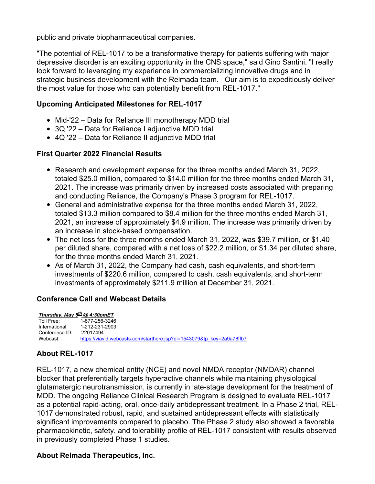public and private biopharmaceutical companies.

"The potential of REL-1017 to be a transformative therapy for patients suffering with major depressive disorder is an exciting opportunity in the CNS space," said Gino Santini. "I really look forward to leveraging my experience in commercializing innovative drugs and in strategic business development with the Relmada team. Our aim is to expeditiously deliver the most value for those who can potentially benefit from REL-1017."

## **Upcoming Anticipated Milestones for REL-1017**

- Mid-'22 Data for Reliance III monotherapy MDD trial
- 3Q '22 Data for Reliance I adjunctive MDD trial
- 4Q '22 Data for Reliance II adjunctive MDD trial

## **First Quarter 2022 Financial Results**

- Research and development expense for the three months ended March 31, 2022, totaled \$25.0 million, compared to \$14.0 million for the three months ended March 31, 2021. The increase was primarily driven by increased costs associated with preparing and conducting Reliance, the Company's Phase 3 program for REL-1017.
- General and administrative expense for the three months ended March 31, 2022, totaled \$13.3 million compared to \$8.4 million for the three months ended March 31, 2021, an increase of approximately \$4.9 million. The increase was primarily driven by an increase in stock-based compensation.
- The net loss for the three months ended March 31, 2022, was \$39.7 million, or \$1.40 per diluted share, compared with a net loss of \$22.2 million, or \$1.34 per diluted share, for the three months ended March 31, 2021.
- As of March 31, 2022, the Company had cash, cash equivalents, and short-term investments of \$220.6 million, compared to cash, cash equivalents, and short-term investments of approximately \$211.9 million at December 31, 2021.

# **Conference Call and Webcast Details**

*Thursday, May 5 th @ 4:30pmET* Toll Free: 1-877-256-3246 International: 1-212-231-2903 Conference ID: 22017494<br>Webcast: https://viav [https://viavid.webcasts.com/starthere.jsp?ei=1543079&tp\\_key=2a9a78ffb7](https://viavid.webcasts.com/starthere.jsp?ei=1543079&tp_key=2a9a78ffb7)

# **About REL-1017**

REL-1017, a new chemical entity (NCE) and novel NMDA receptor (NMDAR) channel blocker that preferentially targets hyperactive channels while maintaining physiological glutamatergic neurotransmission, is currently in late-stage development for the treatment of MDD. The ongoing Reliance Clinical Research Program is designed to evaluate REL-1017 as a potential rapid-acting, oral, once-daily antidepressant treatment. In a Phase 2 trial, REL-1017 demonstrated robust, rapid, and sustained antidepressant effects with statistically significant improvements compared to placebo. The Phase 2 study also showed a favorable pharmacokinetic, safety, and tolerability profile of REL-1017 consistent with results observed in previously completed Phase 1 studies.

### **About Relmada Therapeutics, Inc.**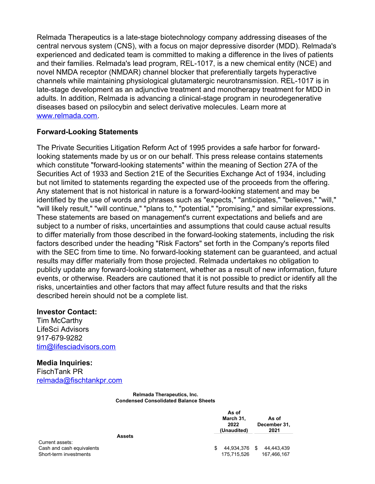Relmada Therapeutics is a late-stage biotechnology company addressing diseases of the central nervous system (CNS), with a focus on major depressive disorder (MDD). Relmada's experienced and dedicated team is committed to making a difference in the lives of patients and their families. Relmada's lead program, REL-1017, is a new chemical entity (NCE) and novel NMDA receptor (NMDAR) channel blocker that preferentially targets hyperactive channels while maintaining physiological glutamatergic neurotransmission. REL-1017 is in late-stage development as an adjunctive treatment and monotherapy treatment for MDD in adults. In addition, Relmada is advancing a clinical-stage program in neurodegenerative diseases based on psilocybin and select derivative molecules. Learn more at [www.relmada.com](http://www.relmada.com).

#### **Forward-Looking Statements**

The Private Securities Litigation Reform Act of 1995 provides a safe harbor for forwardlooking statements made by us or on our behalf. This press release contains statements which constitute "forward-looking statements" within the meaning of Section 27A of the Securities Act of 1933 and Section 21E of the Securities Exchange Act of 1934, including but not limited to statements regarding the expected use of the proceeds from the offering. Any statement that is not historical in nature is a forward-looking statement and may be identified by the use of words and phrases such as "expects," "anticipates," "believes," "will," "will likely result," "will continue," "plans to," "potential," "promising," and similar expressions. These statements are based on management's current expectations and beliefs and are subject to a number of risks, uncertainties and assumptions that could cause actual results to differ materially from those described in the forward-looking statements, including the risk factors described under the heading "Risk Factors" set forth in the Company's reports filed with the SEC from time to time. No forward-looking statement can be guaranteed, and actual results may differ materially from those projected. Relmada undertakes no obligation to publicly update any forward-looking statement, whether as a result of new information, future events, or otherwise. Readers are cautioned that it is not possible to predict or identify all the risks, uncertainties and other factors that may affect future results and that the risks described herein should not be a complete list.

#### **Investor Contact:**

Tim McCarthy LifeSci Advisors 917-679-9282 [tim@lifesciadvisors.com](mailto:tim@lifesciadvisors.com)

**Media Inquiries:** FischTank PR [relmada@fischtankpr.com](mailto:relmada@fischtankpr.com)

> **Relmada Therapeutics, Inc. Condensed Consolidated Balance Sheets**

|                                                     | As of<br>March 31,<br>2022<br>(Unaudited) | As of<br>December 31,<br>2021  |
|-----------------------------------------------------|-------------------------------------------|--------------------------------|
| <b>Assets</b>                                       |                                           |                                |
| Current assets:                                     |                                           |                                |
| Cash and cash equivalents<br>Short-term investments | 44,934,376<br>S<br>175.715.526            | 44,443,439<br>S<br>167.466.167 |